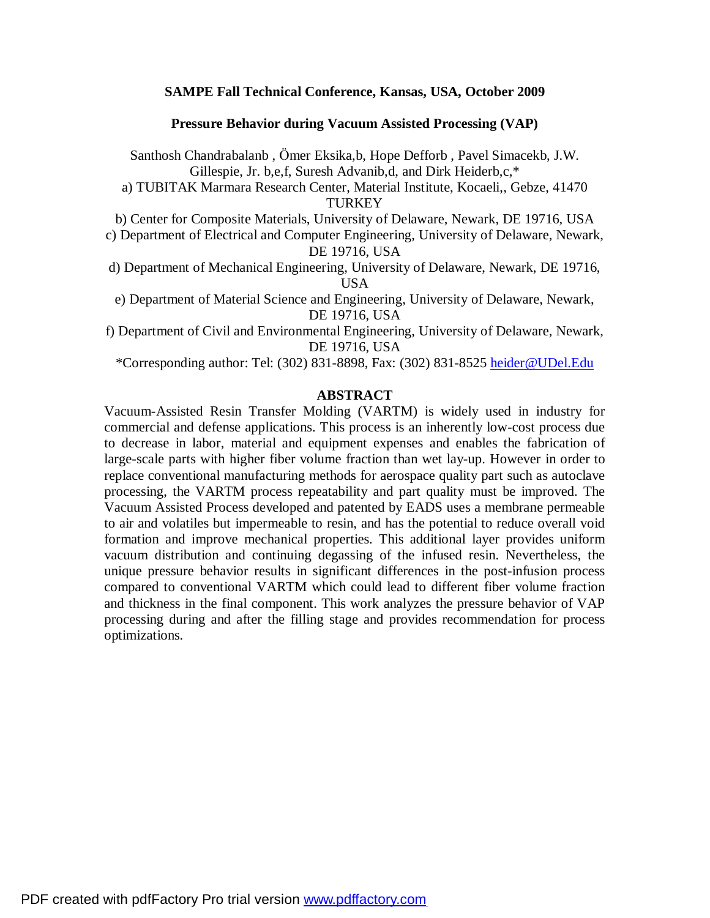## **SAMPE Fall Technical Conference, Kansas, USA, October 2009**

**Pressure Behavior during Vacuum Assisted Processing (VAP)** 

Santhosh Chandrabalanb , Ömer Eksika,b, Hope Defforb , Pavel Simacekb, J.W. Gillespie, Jr. b,e,f, Suresh Advanib,d, and Dirk Heiderb,c,\*

a) TUBITAK Marmara Research Center, Material Institute, Kocaeli,, Gebze, 41470 **TURKEY** 

b) Center for Composite Materials, University of Delaware, Newark, DE 19716, USA

- c) Department of Electrical and Computer Engineering, University of Delaware, Newark, DE 19716, USA
- d) Department of Mechanical Engineering, University of Delaware, Newark, DE 19716, USA

e) Department of Material Science and Engineering, University of Delaware, Newark, DE 19716, USA

f) Department of Civil and Environmental Engineering, University of Delaware, Newark, DE 19716, USA

\*Corresponding author: Tel: (302) 831-8898, Fax: (302) 831-8525 [heider@UDel.Edu](mailto:heider@UDel.Edu)

#### **ABSTRACT**

Vacuum-Assisted Resin Transfer Molding (VARTM) is widely used in industry for commercial and defense applications. This process is an inherently low-cost process due to decrease in labor, material and equipment expenses and enables the fabrication of large-scale parts with higher fiber volume fraction than wet lay-up. However in order to replace conventional manufacturing methods for aerospace quality part such as autoclave processing, the VARTM process repeatability and part quality must be improved. The Vacuum Assisted Process developed and patented by EADS uses a membrane permeable to air and volatiles but impermeable to resin, and has the potential to reduce overall void formation and improve mechanical properties. This additional layer provides uniform vacuum distribution and continuing degassing of the infused resin. Nevertheless, the unique pressure behavior results in significant differences in the post-infusion process compared to conventional VARTM which could lead to different fiber volume fraction and thickness in the final component. This work analyzes the pressure behavior of VAP processing during and after the filling stage and provides recommendation for process optimizations.